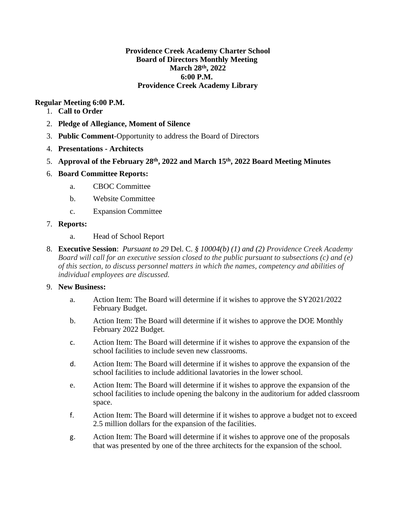### **Providence Creek Academy Charter School Board of Directors Monthly Meeting March 28th, 2022 6:00 P.M. Providence Creek Academy Library**

### **Regular Meeting 6:00 P.M.**

- 1. **Call to Order**
- 2. **Pledge of Allegiance, Moment of Silence**
- 3. **Public Comment**-Opportunity to address the Board of Directors
- 4. **Presentations - Architects**
- 5. **Approval of the February 28th, 2022 and March 15th, 2022 Board Meeting Minutes**

# 6. **Board Committee Reports:**

- a. CBOC Committee
- b. Website Committee
- c. Expansion Committee

### 7. **Reports:**

- a. Head of School Report
- 8. **Executive Session**: *Pursuant to 29* Del. C. *§ 10004(b) (1) and (2) Providence Creek Academy Board will call for an executive session closed to the public pursuant to subsections (c) and (e) of this section, to discuss personnel matters in which the names, competency and abilities of individual employees are discussed.*

# 9. **New Business:**

- a. Action Item: The Board will determine if it wishes to approve the SY2021/2022 February Budget.
- b. Action Item: The Board will determine if it wishes to approve the DOE Monthly February 2022 Budget.
- c. Action Item: The Board will determine if it wishes to approve the expansion of the school facilities to include seven new classrooms.
- d. Action Item: The Board will determine if it wishes to approve the expansion of the school facilities to include additional lavatories in the lower school.
- e. Action Item: The Board will determine if it wishes to approve the expansion of the school facilities to include opening the balcony in the auditorium for added classroom space.
- f. Action Item: The Board will determine if it wishes to approve a budget not to exceed 2.5 million dollars for the expansion of the facilities.
- g. Action Item: The Board will determine if it wishes to approve one of the proposals that was presented by one of the three architects for the expansion of the school.